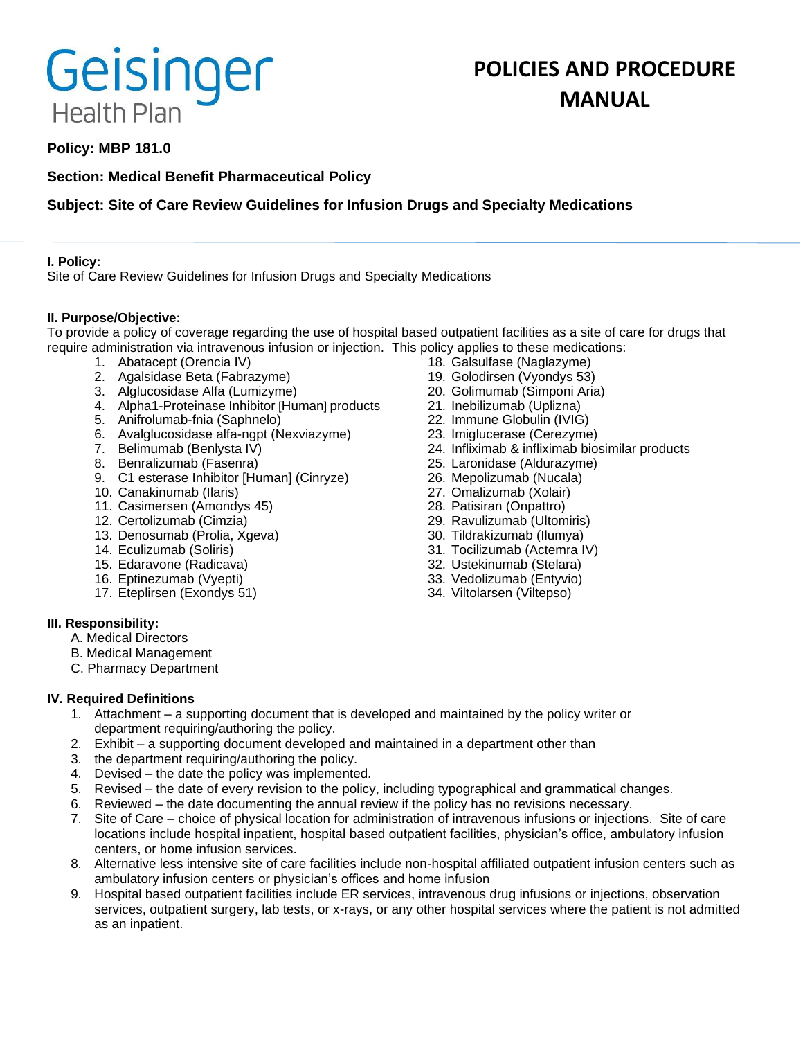# Geisinger **Health Plan**

# **POLICIES AND PROCEDURE MANUAL**

# **Policy: MBP 181.0**

# **Section: Medical Benefit Pharmaceutical Policy**

# **Subject: Site of Care Review Guidelines for Infusion Drugs and Specialty Medications**

# **I. Policy:**

Site of Care Review Guidelines for Infusion Drugs and Specialty Medications

### **II. Purpose/Objective:**

To provide a policy of coverage regarding the use of hospital based outpatient facilities as a site of care for drugs that require administration via intravenous infusion or injection. This policy applies to these medications:

- 1. Abatacept (Orencia IV)
- 2. Agalsidase Beta (Fabrazyme)
- 3. Alglucosidase Alfa (Lumizyme)
- 4. Alpha1-Proteinase Inhibitor [Human] products
- 5. Anifrolumab-fnia (Saphnelo)
- 6. Avalglucosidase alfa-ngpt (Nexviazyme)
- 7. Belimumab (Benlysta IV)
- 8. Benralizumab (Fasenra)
- 9. C1 esterase Inhibitor [Human] (Cinryze)
- 10. Canakinumab (Ilaris)
- 11. Casimersen (Amondys 45)
- 12. Certolizumab (Cimzia)
- 13. Denosumab (Prolia, Xgeva)
- 14. Eculizumab (Soliris)
- 15. Edaravone (Radicava)
- 16. Eptinezumab (Vyepti)
- 17. Eteplirsen (Exondys 51)
- 18. Galsulfase (Naglazyme)
- 19. Golodirsen (Vyondys 53) 20. Golimumab (Simponi Aria)
- 21. Inebilizumab (Uplizna)
- 
- 22. Immune Globulin (IVIG)
- 23. Imiglucerase (Cerezyme)
- 24. Infliximab & infliximab biosimilar products
- 25. Laronidase (Aldurazyme)
- 26. Mepolizumab (Nucala)
- 27. Omalizumab (Xolair)
- 28. Patisiran (Onpattro)
- 29. Ravulizumab (Ultomiris)
- 30. Tildrakizumab (Ilumya)
- 31. Tocilizumab (Actemra IV)
- 32. Ustekinumab (Stelara)
- 33. Vedolizumab (Entyvio)
- 34. Viltolarsen (Viltepso)

### **III. Responsibility:**

- A. Medical Directors
- B. Medical Management
- C. Pharmacy Department

# **IV. Required Definitions**

- 1. Attachment a supporting document that is developed and maintained by the policy writer or department requiring/authoring the policy.
- 2. Exhibit a supporting document developed and maintained in a department other than
- 3. the department requiring/authoring the policy.
- 4. Devised the date the policy was implemented.
- 5. Revised the date of every revision to the policy, including typographical and grammatical changes.
- 6. Reviewed the date documenting the annual review if the policy has no revisions necessary.
- 7. Site of Care choice of physical location for administration of intravenous infusions or injections. Site of care locations include hospital inpatient, hospital based outpatient facilities, physician's office, ambulatory infusion centers, or home infusion services.
- 8. Alternative less intensive site of care facilities include non-hospital affiliated outpatient infusion centers such as ambulatory infusion centers or physician's offices and home infusion
- 9. Hospital based outpatient facilities include ER services, intravenous drug infusions or injections, observation services, outpatient surgery, lab tests, or x-rays, or any other hospital services where the patient is not admitted as an inpatient.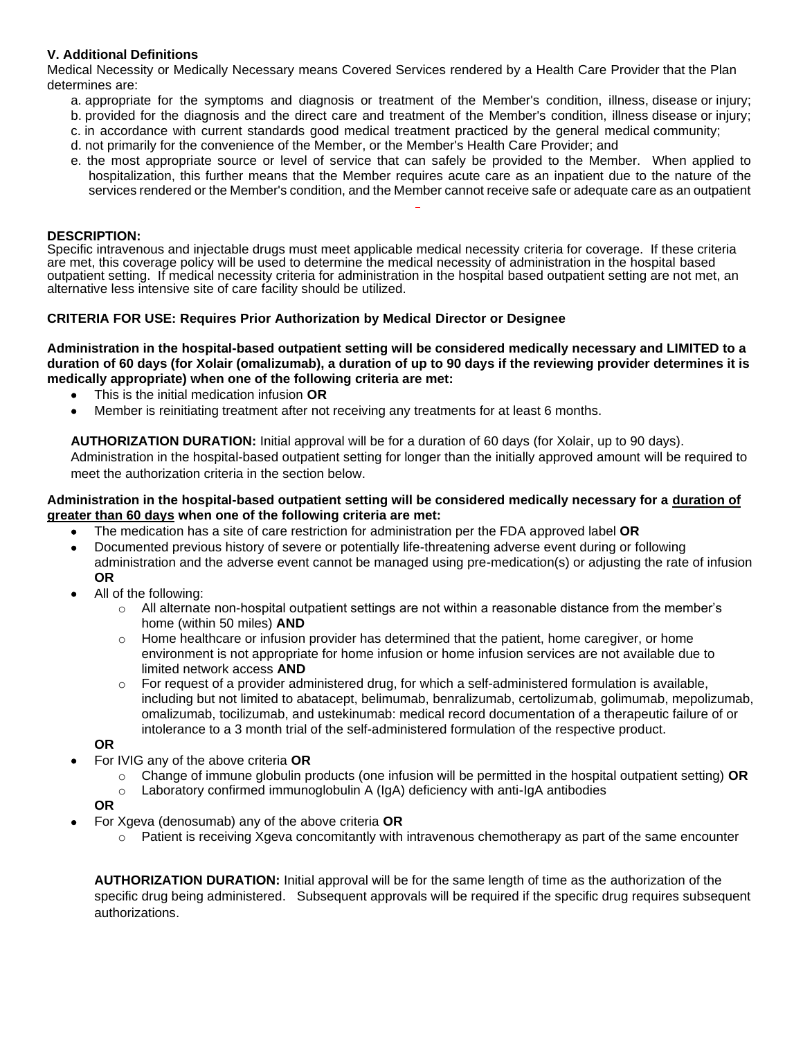# **V. Additional Definitions**

Medical Necessity or Medically Necessary means Covered Services rendered by a Health Care Provider that the Plan determines are:

- a. appropriate for the symptoms and diagnosis or treatment of the Member's condition, illness, disease or injury;
- b. provided for the diagnosis and the direct care and treatment of the Member's condition, illness disease or injury;
- c. in accordance with current standards good medical treatment practiced by the general medical community;
- d. not primarily for the convenience of the Member, or the Member's Health Care Provider; and
- e. the most appropriate source or level of service that can safely be provided to the Member. When applied to hospitalization, this further means that the Member requires acute care as an inpatient due to the nature of the services rendered or the Member's condition, and the Member cannot receive safe or adequate care as an outpatient

#### **DESCRIPTION:**

Specific intravenous and injectable drugs must meet applicable medical necessity criteria for coverage. If these criteria are met, this coverage policy will be used to determine the medical necessity of administration in the hospital based outpatient setting. If medical necessity criteria for administration in the hospital based outpatient setting are not met, an alternative less intensive site of care facility should be utilized.

#### **CRITERIA FOR USE: Requires Prior Authorization by Medical Director or Designee**

**Administration in the hospital-based outpatient setting will be considered medically necessary and LIMITED to a duration of 60 days (for Xolair (omalizumab), a duration of up to 90 days if the reviewing provider determines it is medically appropriate) when one of the following criteria are met:**

- This is the initial medication infusion **OR**
- Member is reinitiating treatment after not receiving any treatments for at least 6 months.

**AUTHORIZATION DURATION:** Initial approval will be for a duration of 60 days (for Xolair, up to 90 days). Administration in the hospital-based outpatient setting for longer than the initially approved amount will be required to meet the authorization criteria in the section below.

#### **Administration in the hospital-based outpatient setting will be considered medically necessary for a duration of greater than 60 days when one of the following criteria are met:**

- The medication has a site of care restriction for administration per the FDA approved label **OR**
- Documented previous history of severe or potentially life-threatening adverse event during or following administration and the adverse event cannot be managed using pre-medication(s) or adjusting the rate of infusion **OR**
- All of the following:
	- $\circ$  All alternate non-hospital outpatient settings are not within a reasonable distance from the member's home (within 50 miles) **AND**
	- $\circ$  Home healthcare or infusion provider has determined that the patient, home caregiver, or home environment is not appropriate for home infusion or home infusion services are not available due to limited network access **AND**
	- $\circ$  For request of a provider administered drug, for which a self-administered formulation is available, including but not limited to abatacept, belimumab, benralizumab, certolizumab, golimumab, mepolizumab, omalizumab, tocilizumab, and ustekinumab: medical record documentation of a therapeutic failure of or intolerance to a 3 month trial of the self-administered formulation of the respective product.

**OR**

- For IVIG any of the above criteria **OR**
	- o Change of immune globulin products (one infusion will be permitted in the hospital outpatient setting) **OR**
	- $\circ$  Laboratory confirmed immunoglobulin A (IgA) deficiency with anti-IgA antibodies

**OR**

- For Xgeva (denosumab) any of the above criteria **OR**
	- o Patient is receiving Xgeva concomitantly with intravenous chemotherapy as part of the same encounter

**AUTHORIZATION DURATION:** Initial approval will be for the same length of time as the authorization of the specific drug being administered. Subsequent approvals will be required if the specific drug requires subsequent authorizations.